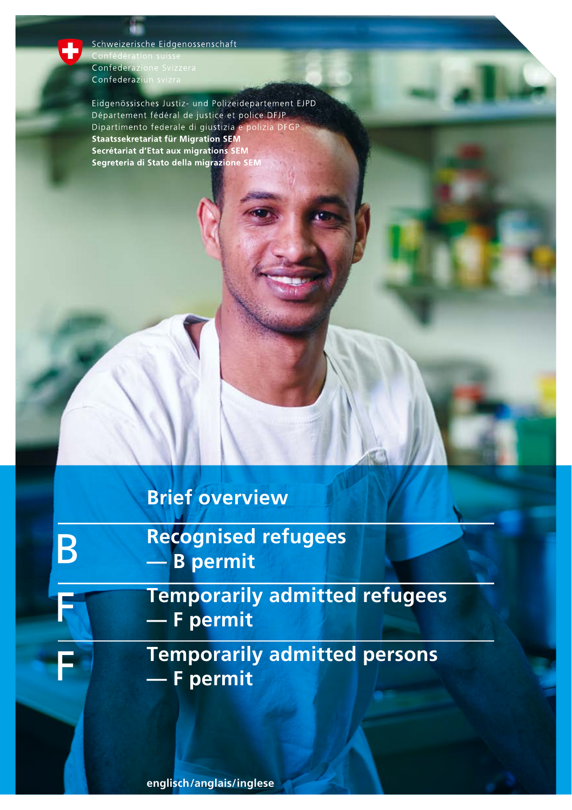Schweizerische Eidgenossenschaft Confederazion Confederaziu

Eidgenössisches Justiz- und Polizeidepartement EJPD Département fédéral de justice et police DFJP Dipartimento federale di giustizia e polizia DFG **Staatssekretariat für Migration SEM** Secrétariat d'Etat aux migrations SEM Segreteria di Stato della migrazione SEN

### **Brief overview**

B F

F

**Recognised refugees — B permit**

**Temporarily admitted refugees — F permit**

**Temporarily admitted persons — F permit**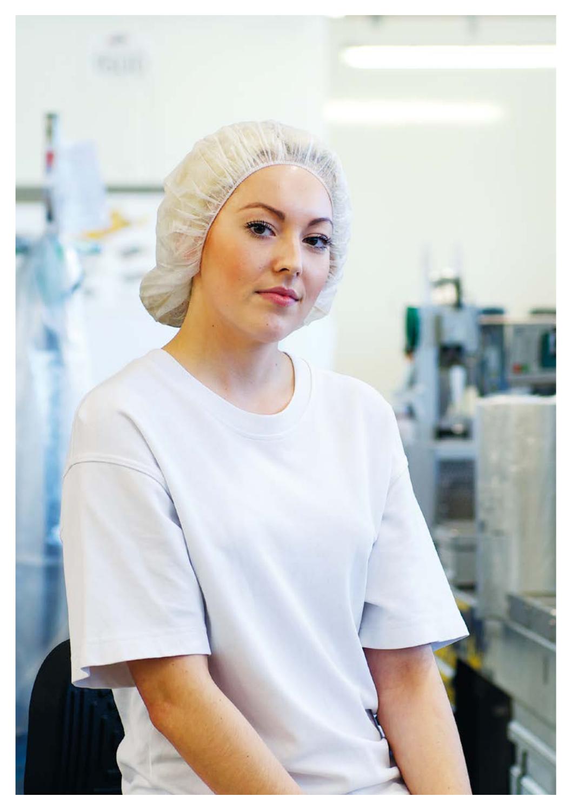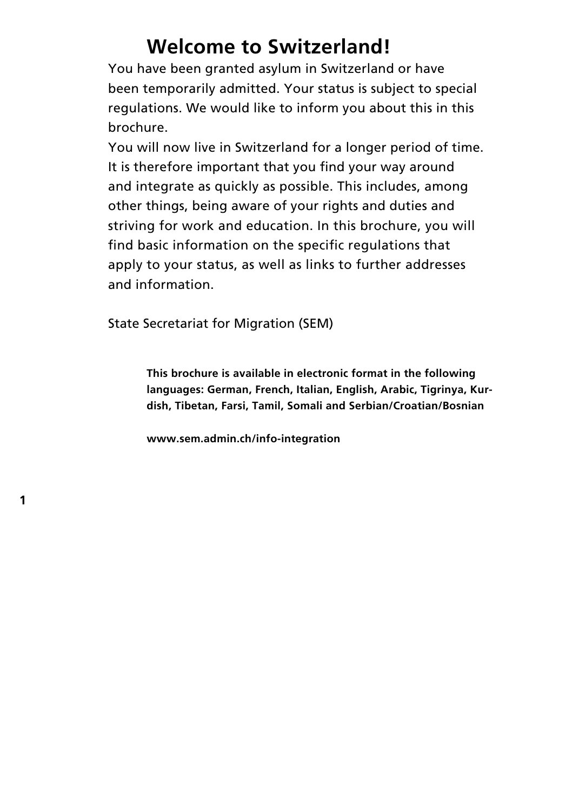### **Welcome to Switzerland!**

You have been granted asylum in Switzerland or have been temporarily admitted. Your status is subject to special regulations. We would like to inform you about this in this brochure.

You will now live in Switzerland for a longer period of time. It is therefore important that you find your way around and integrate as quickly as possible. This includes, among other things, being aware of your rights and duties and striving for work and education. In this brochure, you will find basic information on the specific regulations that apply to your status, as well as links to further addresses and information.

State Secretariat for Migration (SEM)

**This brochure is available in electronic format in the following languages: German, French, Italian, English, Arabic, Tigrinya, Kurdish, Tibetan, Farsi, Tamil, Somali and Serbian/Croatian/Bosnian** 

**[www.sem.admin.ch/info-integration](http://www.sem.admin.ch/info-integration)**

**1**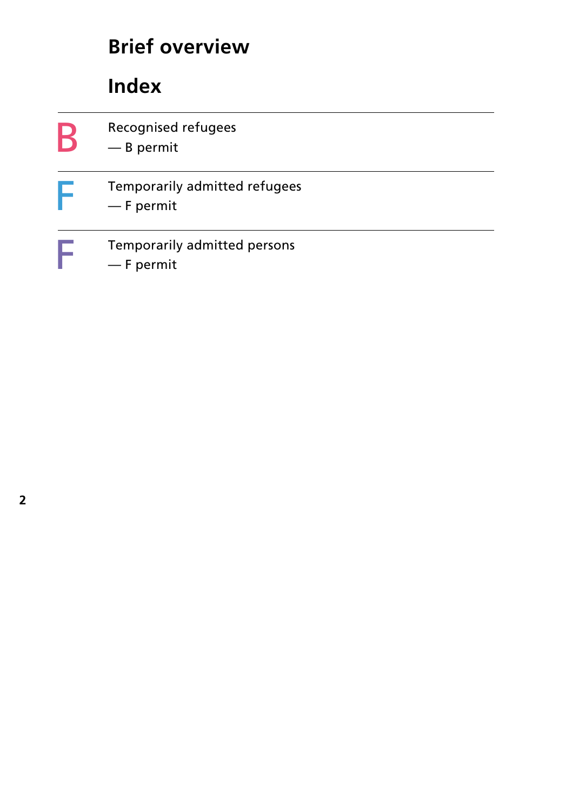## **Brief overview**

### **Index**

| Recognised refugees<br>$-$ B permit           |
|-----------------------------------------------|
| Temporarily admitted refugees<br>$-$ F permit |
| Temporarily admitted persons<br>$-$ F permit  |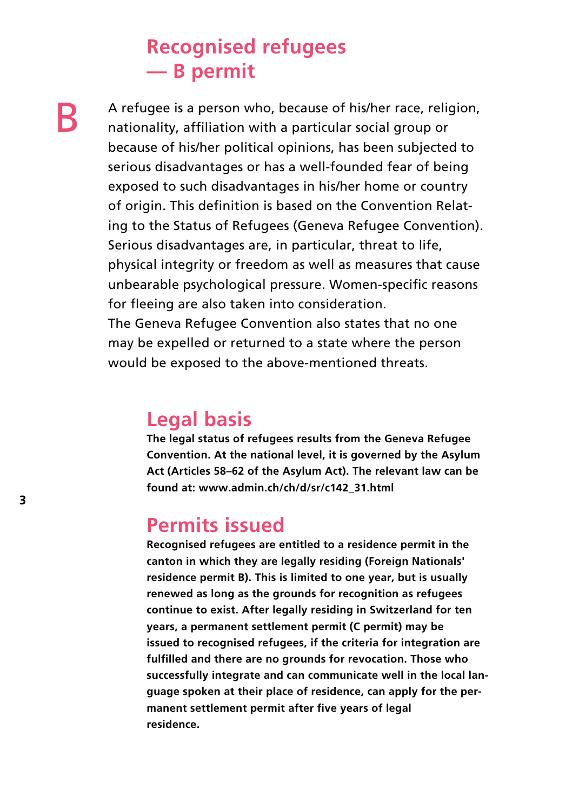### **Recognised refugees — B permit**

A refugee is a person who, because of his/her race, religion, nationality, affiliation with a particular social group or because of his/her political opinions, has been subjected to serious disadvantages or has a well-founded fear of being exposed to such disadvantages in his/her home or country of origin. This definition is based on the Convention Relating to the Status of Refugees (Geneva Refugee Convention). Serious disadvantages are, in particular, threat to life, physical integrity or freedom as well as measures that cause unbearable psychological pressure. Women-specific reasons for fleeing are also taken into consideration.

The Geneva Refugee Convention also states that no one may be expelled or returned to a state where the person would be exposed to the above-mentioned threats.

#### **Legal basis**

**The legal status of refugees results from the Geneva Refugee Convention. At the national level, it is governed by the Asylum Act (Articles 58–62 of the Asylum Act). The relevant law can be found at: [www.admin.ch/ch/d/sr/c142\\_31.html](http://www.admin.ch/ch/d/sr/c142_31.html)**

#### **Permits issued**

**Recognised refugees are entitled to a residence permit in the canton in which they are legally residing (Foreign Nationals' residence permit B). This is limited to one year, but is usually renewed as long as the grounds for recognition as refugees continue to exist. After legally residing in Switzerland for ten years, a permanent settlement permit (C permit) may be issued to recognised refugees, if the criteria for integration are fulfilled and there are no grounds for revocation. Those who successfully integrate and can communicate well in the local language spoken at their place of residence, can apply for the permanent settlement permit after five years of legal residence.** 

B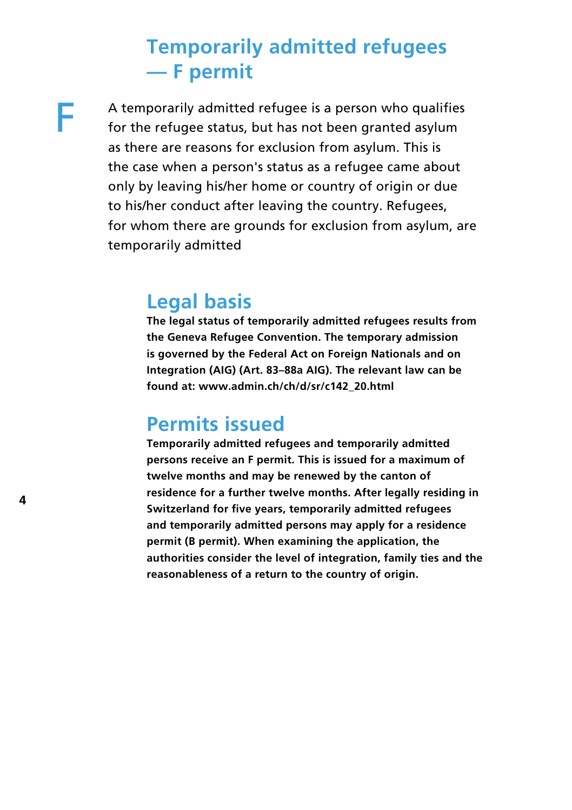### **Temporarily admitted refugees — F permit**

A temporarily admitted refugee is a person who qualifies for the refugee status, but has not been granted asylum as there are reasons for exclusion from asylum. This is the case when a person's status as a refugee came about only by leaving his/her home or country of origin or due to his/her conduct after leaving the country. Refugees, for whom there are grounds for exclusion from asylum, are temporarily admitted

#### **Legal basis**

**The legal status of temporarily admitted refugees results from the Geneva Refugee Convention. The temporary admission is governed by the Federal Act on Foreign Nationals and on Integration (AIG) (Art. 83–88a AIG). The relevant law can be found at: [www.admin.ch/ch/d/sr/c142\\_20.html](http://www.admin.ch/ch/d/sr/c142_20.html)**

#### **Permits issued**

**Temporarily admitted refugees and temporarily admitted persons receive an F permit. This is issued for a maximum of twelve months and may be renewed by the canton of residence for a further twelve months. After legally residing in Switzerland for five years, temporarily admitted refugees and temporarily admitted persons may apply for a residence permit (B permit). When examining the application, the authorities consider the level of integration, family ties and the reasonableness of a return to the country of origin.**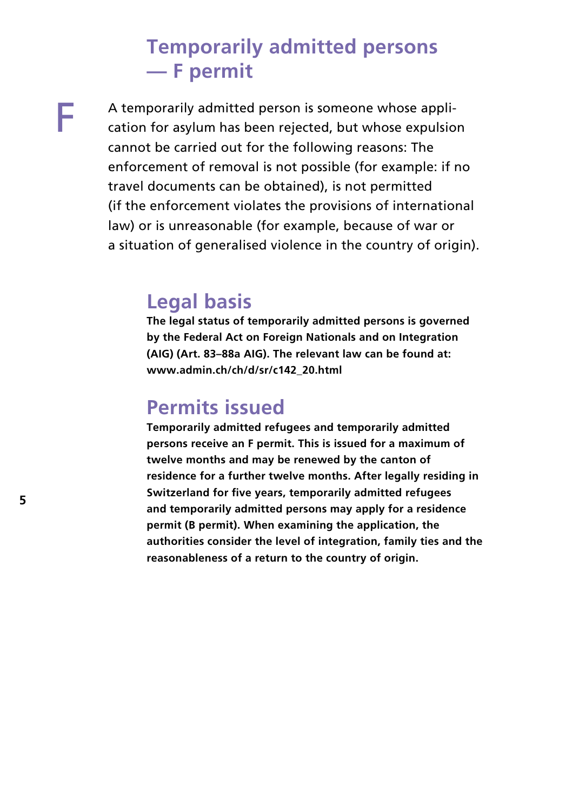#### **Temporarily admitted persons — F permit**

A temporarily admitted person is someone whose application for asylum has been rejected, but whose expulsion cannot be carried out for the following reasons: The enforcement of removal is not possible (for example: if no travel documents can be obtained), is not permitted (if the enforcement violates the provisions of international law) or is unreasonable (for example, because of war or a situation of generalised violence in the country of origin).

#### **Legal basis**

**The legal status of temporarily admitted persons is governed by the Federal Act on Foreign Nationals and on Integration (AIG) (Art. 83–88a AIG). The relevant law can be found at: [www.admin.ch/ch/d/sr/c142\\_20.html](http://www.admin.ch/ch/d/sr/c142_20.html)**

#### **Permits issued**

**Temporarily admitted refugees and temporarily admitted persons receive an F permit. This is issued for a maximum of twelve months and may be renewed by the canton of residence for a further twelve months. After legally residing in Switzerland for five years, temporarily admitted refugees and temporarily admitted persons may apply for a residence permit (B permit). When examining the application, the authorities consider the level of integration, family ties and the reasonableness of a return to the country of origin.**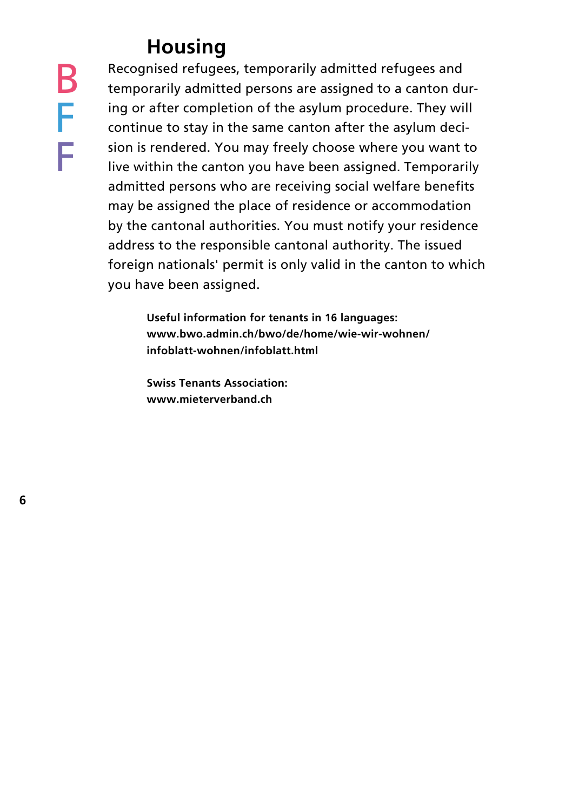### **Housing**

B F F

Recognised refugees, temporarily admitted refugees and temporarily admitted persons are assigned to a canton during or after completion of the asylum procedure. They will continue to stay in the same canton after the asylum decision is rendered. You may freely choose where you want to live within the canton you have been assigned. Temporarily admitted persons who are receiving social welfare benefits may be assigned the place of residence or accommodation by the cantonal authorities. You must notify your residence address to the responsible cantonal authority. The issued foreign nationals' permit is only valid in the canton to which you have been assigned.

> **Useful information for tenants in 16 languages: [www.bwo.admin.ch/bwo/de/home/wie-wir-wohnen/](http://www.bwo.admin.ch/bwo/de/home/wie-wir-wohnen/infoblatt-wohnen/infoblatt.html) [infoblatt-wohnen/infoblatt.html](http://www.bwo.admin.ch/bwo/de/home/wie-wir-wohnen/infoblatt-wohnen/infoblatt.html)**

**Swiss Tenants Association: [www.mieterverband.ch](http://www.mieterverband.ch)**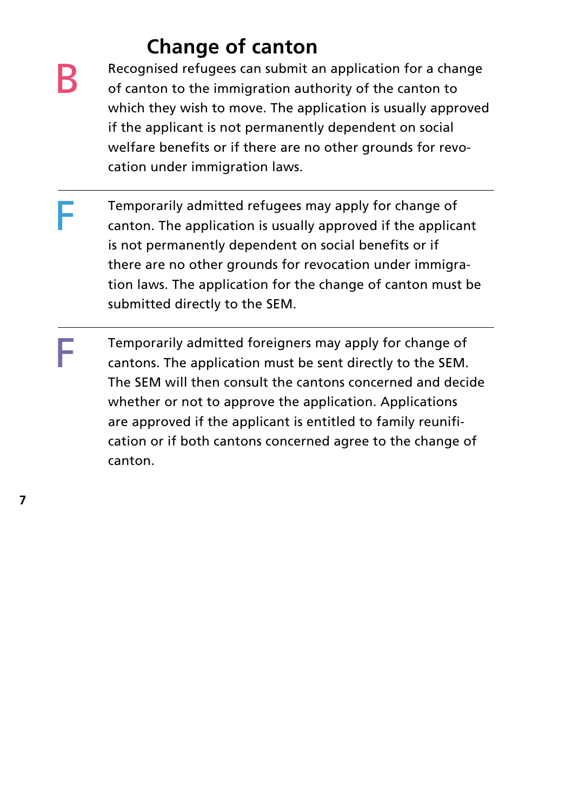### **Change of canton**

# B

Recognised refugees can submit an application for a change of canton to the immigration authority of the canton to which they wish to move. The application is usually approved if the applicant is not permanently dependent on social welfare benefits or if there are no other grounds for revocation under immigration laws.

- Temporarily admitted refugees may apply for change of canton. The application is usually approved if the applicant is not permanently dependent on social benefits or if there are no other grounds for revocation under immigration laws. The application for the change of canton must be submitted directly to the SEM. F
- Temporarily admitted foreigners may apply for change of cantons. The application must be sent directly to the SEM. The SEM will then consult the cantons concerned and decide whether or not to approve the application. Applications are approved if the applicant is entitled to family reunification or if both cantons concerned agree to the change of canton. F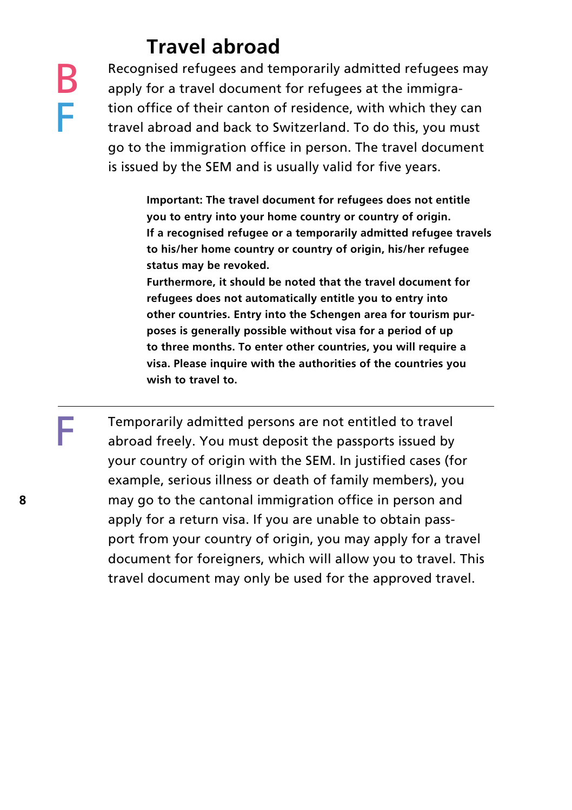### **Travel abroad**

Recognised refugees and temporarily admitted refugees may apply for a travel document for refugees at the immigration office of their canton of residence, with which they can travel abroad and back to Switzerland. To do this, you must go to the immigration office in person. The travel document is issued by the SEM and is usually valid for five years.

> **Important: The travel document for refugees does not entitle you to entry into your home country or country of origin. If a recognised refugee or a temporarily admitted refugee travels to his/her home country or country of origin, his/her refugee status may be revoked.**

**Furthermore, it should be noted that the travel document for refugees does not automatically entitle you to entry into other countries. Entry into the Schengen area for tourism purposes is generally possible without visa for a period of up to three months. To enter other countries, you will require a visa. Please inquire with the authorities of the countries you wish to travel to.**

Temporarily admitted persons are not entitled to travel abroad freely. You must deposit the passports issued by your country of origin with the SEM. In justified cases (for example, serious illness or death of family members), you may go to the cantonal immigration office in person and apply for a return visa. If you are unable to obtain passport from your country of origin, you may apply for a travel document for foreigners, which will allow you to travel. This travel document may only be used for the approved travel.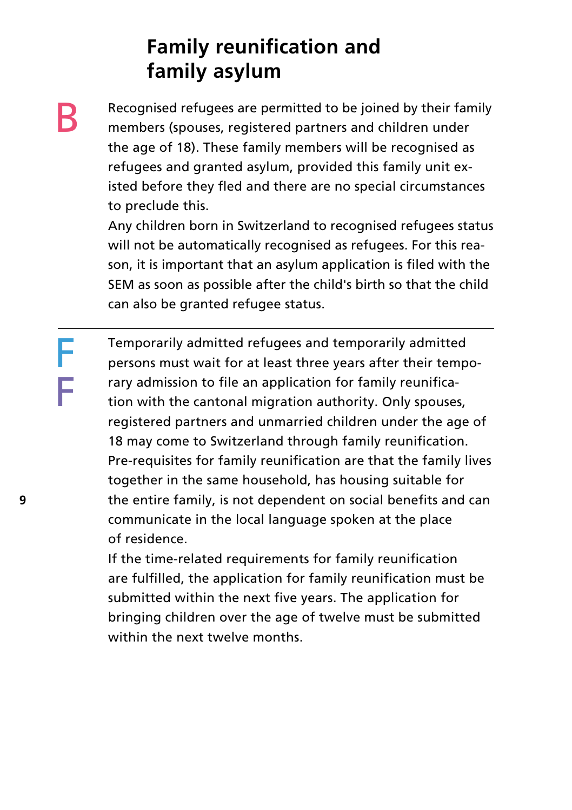### **Family reunification and family asylum**

B

F

F

Recognised refugees are permitted to be joined by their family members (spouses, registered partners and children under the age of 18). These family members will be recognised as refugees and granted asylum, provided this family unit existed before they fled and there are no special circumstances to preclude this.

Any children born in Switzerland to recognised refugees status will not be automatically recognised as refugees. For this reason, it is important that an asylum application is filed with the SEM as soon as possible after the child's birth so that the child can also be granted refugee status.

Temporarily admitted refugees and temporarily admitted persons must wait for at least three years after their temporary admission to file an application for family reunification with the cantonal migration authority. Only spouses, registered partners and unmarried children under the age of 18 may come to Switzerland through family reunification. Pre-requisites for family reunification are that the family lives together in the same household, has housing suitable for the entire family, is not dependent on social benefits and can communicate in the local language spoken at the place of residence.

If the time-related requirements for family reunification are fulfilled, the application for family reunification must be submitted within the next five years. The application for bringing children over the age of twelve must be submitted within the next twelve months.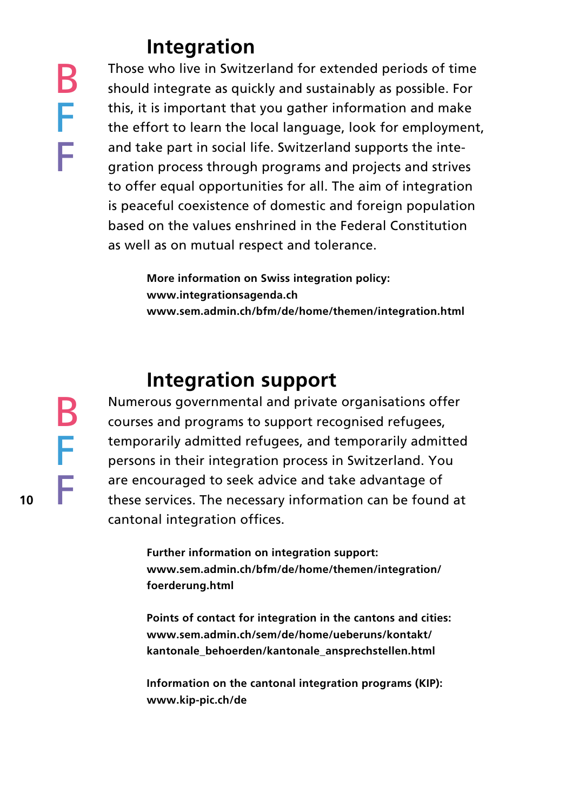### **Integration**

B F F

Those who live in Switzerland for extended periods of time should integrate as quickly and sustainably as possible. For this, it is important that you gather information and make the effort to learn the local language, look for employment, and take part in social life. Switzerland supports the integration process through programs and projects and strives to offer equal opportunities for all. The aim of integration is peaceful coexistence of domestic and foreign population based on the values enshrined in the Federal Constitution as well as on mutual respect and tolerance.

> **More information on Swiss integration policy: [www.integrationsagenda.ch](http://www.integrationsagenda.ch) [www.sem.admin.ch/bfm/de/home/themen/integration.html](http://www.sem.admin.ch/bfm/de/home/themen/integration.html)**

#### **Integration support**

Numerous governmental and private organisations offer courses and programs to support recognised refugees, temporarily admitted refugees, and temporarily admitted persons in their integration process in Switzerland. You are encouraged to seek advice and take advantage of these services. The necessary information can be found at cantonal integration offices.

> **Further information on integration support: [www.sem.admin.ch/bfm/de/home/themen/integration/](http://www.sem.admin.ch/bfm/de/home/themen/integration/foerderung.html) [foerderung.html](http://www.sem.admin.ch/bfm/de/home/themen/integration/foerderung.html)**

**Points of contact for integration in the cantons and cities: [www.sem.admin.ch/sem/de/home/ueberuns/kontakt/](http://www.sem.admin.ch/sem/de/home/ueberuns/kontakt/kantonale_behoerden/kantonale_ansprechstellen.html) [kantonale\\_behoerden/kantonale\\_ansprechstellen.html](http://www.sem.admin.ch/sem/de/home/ueberuns/kontakt/kantonale_behoerden/kantonale_ansprechstellen.html)**

**Information on the cantonal integration programs (KIP): [www.kip-pic.ch/de](http://www.kip-pic.ch/de)**

B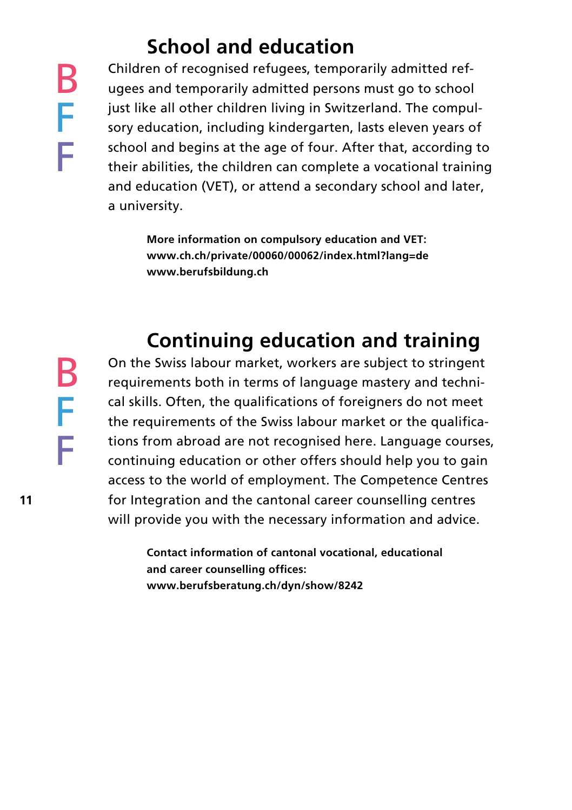B

F

F

### **School and education**

Children of recognised refugees, temporarily admitted refugees and temporarily admitted persons must go to school just like all other children living in Switzerland. The compulsory education, including kindergarten, lasts eleven years of school and begins at the age of four. After that, according to their abilities, the children can complete a vocational training and education (VET), or attend a secondary school and later, a university.

> **More information on compulsory education and VET: [www.ch.ch/private/00060/00062/index.html?lang=de](http://www.ch.ch/private/00060/00062/index.html?lang=de) [www.berufsbildung.ch](http://www.berufsbildung.ch)**

### **Continuing education and training**

On the Swiss labour market, workers are subject to stringent requirements both in terms of language mastery and technical skills. Often, the qualifications of foreigners do not meet the requirements of the Swiss labour market or the qualifications from abroad are not recognised here. Language courses, continuing education or other offers should help you to gain access to the world of employment. The Competence Centres for Integration and the cantonal career counselling centres will provide you with the necessary information and advice.

> **Contact information of cantonal vocational, educational and career counselling offices: [www.berufsberatung.ch/dyn/show/8242](http://www.berufsberatung.ch/dyn/show/8242)**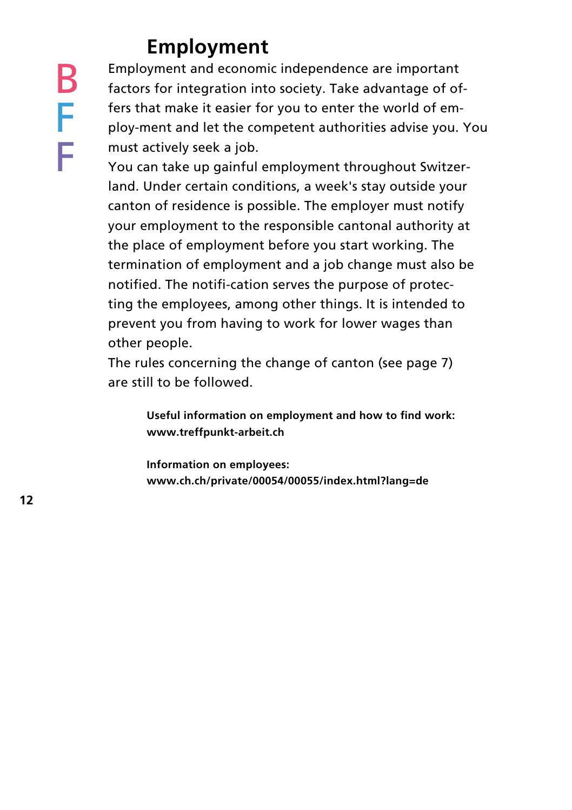### **Employment**

Employment and economic independence are important factors for integration into society. Take advantage of offers that make it easier for you to enter the world of employ-ment and let the competent authorities advise you. You must actively seek a job.

You can take up gainful employment throughout Switzerland. Under certain conditions, a week's stay outside your canton of residence is possible. The employer must notify your employment to the responsible cantonal authority at the place of employment before you start working. The termination of employment and a job change must also be notified. The notifi-cation serves the purpose of protecting the employees, among other things. It is intended to prevent you from having to work for lower wages than other people.

The rules concerning the change of canton (see page 7) are still to be followed.

> **Useful information on employment and how to find work: [www.treffpunkt-arbeit.ch](http://www.treffpunkt-arbeit.ch)**

**Information on employees: [www.ch.ch/private/00054/00055/index.html?lang=de](http://www.ch.ch/private/00054/00055/index.html?lang=de)**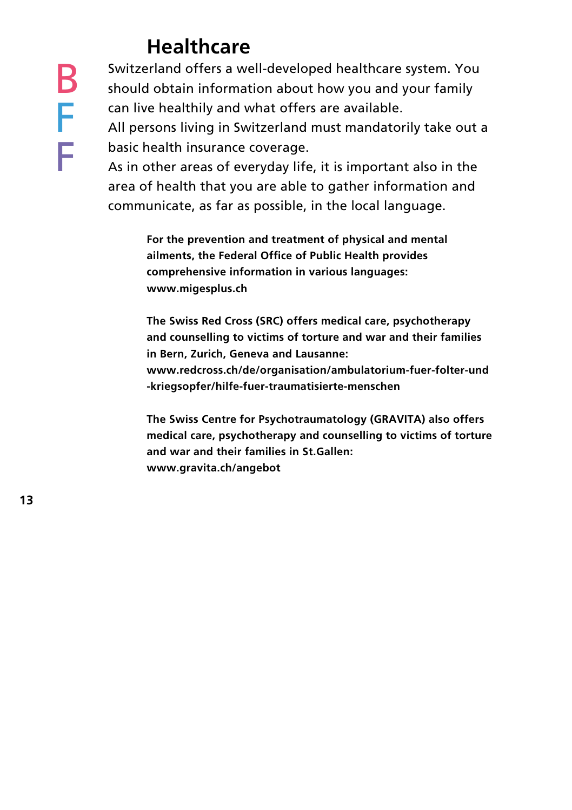### **Healthcare**

B F F

Switzerland offers a well-developed healthcare system. You should obtain information about how you and your family can live healthily and what offers are available.

All persons living in Switzerland must mandatorily take out a basic health insurance coverage.

As in other areas of everyday life, it is important also in the area of health that you are able to gather information and communicate, as far as possible, in the local language.

> **For the prevention and treatment of physical and mental ailments, the Federal Office of Public Health provides comprehensive information in various languages: [www.migesplus.ch](http://www.migesplus.ch)**

**The Swiss Red Cross (SRC) offers medical care, psychotherapy and counselling to victims of torture and war and their families in Bern, Zurich, Geneva and Lausanne: [www.redcross.ch/de/organisation/ambulatorium-fuer-folter-und](http://www.redcross.ch/de/organisation/ambulatorium-fuer-folter-und-kriegsopfer/hilfe-fuer-traumatisierte-menschen) [-kriegsopfer/hilfe-fuer-traumatisierte-menschen](http://www.redcross.ch/de/organisation/ambulatorium-fuer-folter-und-kriegsopfer/hilfe-fuer-traumatisierte-menschen)**

**The Swiss Centre for Psychotraumatology (GRAVITA) also offers medical care, psychotherapy and counselling to victims of torture and war and their families in St.Gallen: [www.gravita.ch/angebot](http://www.gravita.ch/angebot)**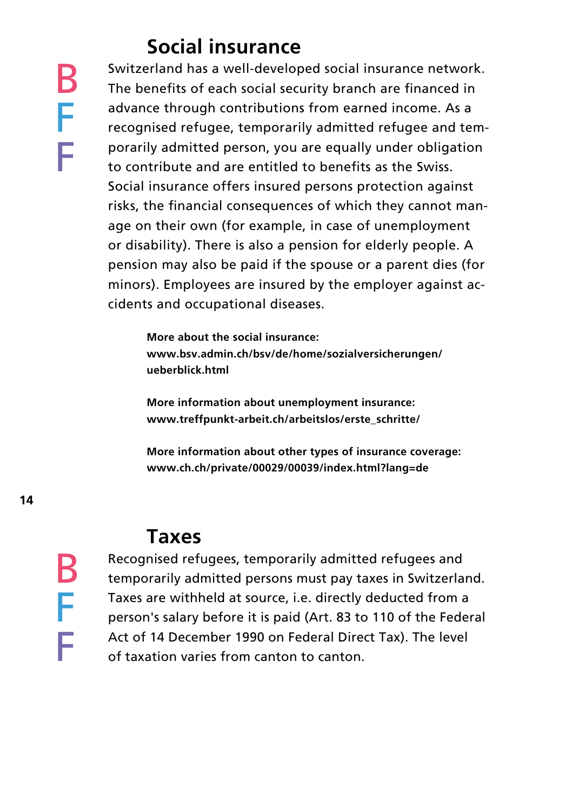### **Social insurance**

Switzerland has a well-developed social insurance network. The benefits of each social security branch are financed in advance through contributions from earned income. As a recognised refugee, temporarily admitted refugee and temporarily admitted person, you are equally under obligation to contribute and are entitled to benefits as the Swiss. Social insurance offers insured persons protection against risks, the financial consequences of which they cannot manage on their own (for example, in case of unemployment or disability). There is also a pension for elderly people. A pension may also be paid if the spouse or a parent dies (for minors). Employees are insured by the employer against accidents and occupational diseases.

> **More about the social insurance: [www.bsv.admin.ch/bsv/de/home/sozialversicherungen/](http://www.bsv.admin.ch/bsv/de/home/sozialversicherungen/ueberblick.html) [ueberblick.html](http://www.bsv.admin.ch/bsv/de/home/sozialversicherungen/ueberblick.html)**

**More information about unemployment insurance: [www.treffpunkt-arbeit.ch/arbeitslos/erste\\_schritte/](http://www.treffpunkt-arbeit.ch/arbeitslos/erste_schritte/)**

**More information about other types of insurance coverage: [www.ch.ch/private/00029/00039/index.html?lang=de](http://www.ch.ch/private/00029/00039/index.html?lang=de)**

#### **Taxes**

B F F

Recognised refugees, temporarily admitted refugees and temporarily admitted persons must pay taxes in Switzerland. Taxes are withheld at source, i.e. directly deducted from a person's salary before it is paid (Art. 83 to 110 of the Federal Act of 14 December 1990 on Federal Direct Tax). The level of taxation varies from canton to canton.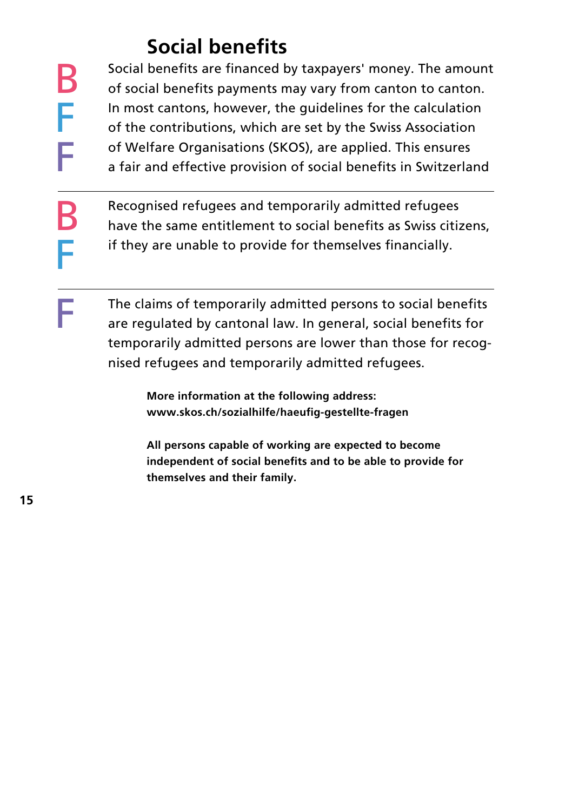### **Social benefits**

Social benefits are financed by taxpayers' money. The amount of social benefits payments may vary from canton to canton. In most cantons, however, the guidelines for the calculation of the contributions, which are set by the Swiss Association of Welfare Organisations (SKOS), are applied. This ensures a fair and effective provision of social benefits in Switzerland

Recognised refugees and temporarily admitted refugees have the same entitlement to social benefits as Swiss citizens, if they are unable to provide for themselves financially.

The claims of temporarily admitted persons to social benefits are regulated by cantonal law. In general, social benefits for temporarily admitted persons are lower than those for recognised refugees and temporarily admitted refugees.

> **More information at the following address: [www.skos.ch/sozialhilfe/haeufig-gestellte-fragen](http://www.skos.ch/sozialhilfe/haeufig-gestellte-fragen)**

**All persons capable of working are expected to become independent of social benefits and to be able to provide for themselves and their family.** 

B

F

F

B

F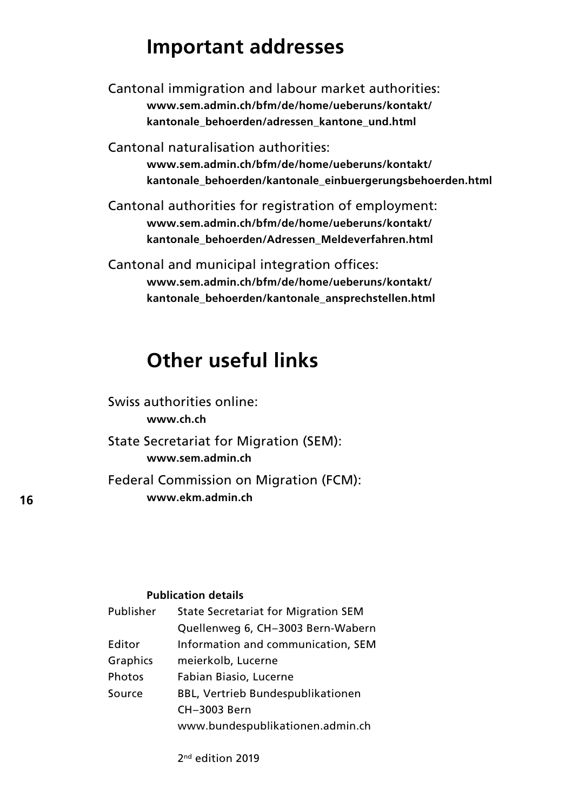#### **Important addresses**

Cantonal immigration and labour market authorities: **[www.sem.admin.ch/bfm/de/home/ueberuns/kontakt/](http://www.sem.admin.ch/bfm/de/home/ueberuns/kontakt/kantonale_behoerden/adressen_kantone_und.html) [kantonale\\_behoerden/adressen\\_kantone\\_und.html](http://www.sem.admin.ch/bfm/de/home/ueberuns/kontakt/kantonale_behoerden/adressen_kantone_und.html)**

Cantonal naturalisation authorities: **[www.sem.admin.ch/bfm/de/home/ueberuns/kontakt/](http://www.sem.admin.ch/bfm/de/home/ueberuns/kontakt/kantonale_behoerden/kantonale_einbuergerungsbehoerden.html) [kantonale\\_behoerden/kantonale\\_einbuergerungsbehoerden.html](http://www.sem.admin.ch/bfm/de/home/ueberuns/kontakt/kantonale_behoerden/kantonale_einbuergerungsbehoerden.html)**

Cantonal authorities for registration of employment: **[www.sem.admin.ch/bfm/de/home/ueberuns/kontakt/](http://www.sem.admin.ch/bfm/de/home/ueberuns/kontakt/kantonale_behoerden/Adressen_Meldeverfahren.html) [kantonale\\_behoerden/Adressen\\_Meldeverfahren.html](http://www.sem.admin.ch/bfm/de/home/ueberuns/kontakt/kantonale_behoerden/Adressen_Meldeverfahren.html)**

Cantonal and municipal integration offices: **[www.sem.admin.ch/bfm/de/home/ueberuns/kontakt/](http://www.sem.admin.ch/bfm/de/home/ueberuns/kontakt/kantonale_behoerden/kantonale_ansprechstellen.html) [kantonale\\_behoerden/kantonale\\_ansprechstellen.html](http://www.sem.admin.ch/bfm/de/home/ueberuns/kontakt/kantonale_behoerden/kantonale_ansprechstellen.html)**

#### **Other useful links**

Swiss authorities online: **[www.ch.ch](http://www.ch.ch)** State Secretariat for Migration (SEM): **[www.sem.admin.ch](http://www.sem.admin.ch)** Federal Commission on Migration (FCM): **[www.ekm.admin.ch](http://www.ekm.admin.ch)**

#### **Publication details**

| Publisher | <b>State Secretariat for Migration SEM</b> |
|-----------|--------------------------------------------|
|           | Quellenweg 6, CH-3003 Bern-Wabern          |
| Editor    | Information and communication, SEM         |
| Graphics  | meierkolb, Lucerne                         |
| Photos    | Fabian Biasio, Lucerne                     |
| Source    | <b>BBL, Vertrieb Bundespublikationen</b>   |
|           | CH-3003 Bern                               |
|           | www.bundespublikationen.admin.ch           |
|           |                                            |

2nd edition 2019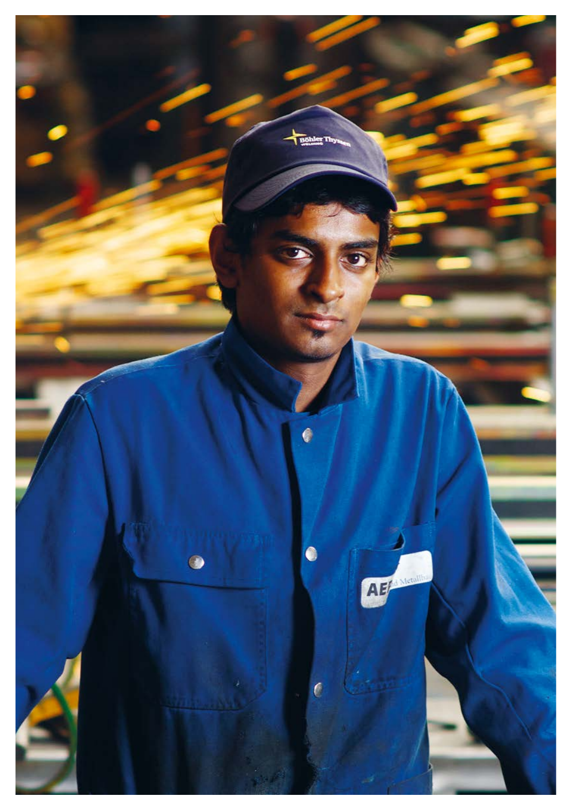